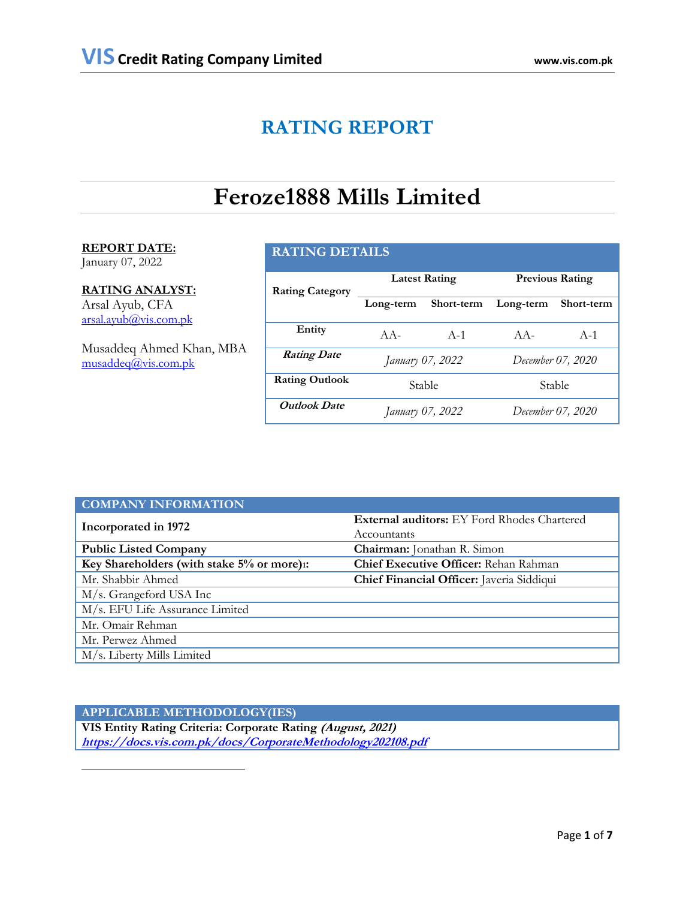# **RATING REPORT**

# **Feroze1888 Mills Limited**

# **REPORT DATE:**

January 07, 2022

 $\overline{a}$ 

# **RATING ANALYST:**

Arsal Ayub, CFA [arsal.ayub@vis.com.pk](mailto:arsal.ayub@vis.com.pk)

Musaddeq Ahmed Khan, MBA [musaddeq@vis.com.pk](mailto:musaddeq@vis.com.pk)

# **RATING DETAILS**

| <b>Rating Category</b> |                  | <b>Latest Rating</b> | <b>Previous Rating</b> |                   |  |
|------------------------|------------------|----------------------|------------------------|-------------------|--|
|                        | Long-term        | Short-term           | Long-term              | Short-term        |  |
| Entity                 | $AA -$           | $A-1$                | $AA-$                  | $A-1$             |  |
| <b>Rating Date</b>     | January 07, 2022 |                      |                        | December 07, 2020 |  |
| <b>Rating Outlook</b>  | Stable           |                      | Stable                 |                   |  |
| <b>Outlook Date</b>    | January 07, 2022 |                      | December 07, 2020      |                   |  |

| <b>COMPANY INFORMATION</b>                 |                                                    |
|--------------------------------------------|----------------------------------------------------|
| Incorporated in 1972                       | <b>External auditors:</b> EY Ford Rhodes Chartered |
|                                            | Accountants                                        |
| <b>Public Listed Company</b>               | Chairman: Jonathan R. Simon                        |
| Key Shareholders (with stake 5% or more)1: | Chief Executive Officer: Rehan Rahman              |
| Mr. Shabbir Ahmed                          | Chief Financial Officer: Javeria Siddiqui          |
| M/s. Grangeford USA Inc                    |                                                    |
| M/s. EFU Life Assurance Limited            |                                                    |
| Mr. Omair Rehman                           |                                                    |
| Mr. Perwez Ahmed                           |                                                    |
| M/s. Liberty Mills Limited                 |                                                    |

**APPLICABLE METHODOLOGY(IES) VIS Entity Rating Criteria: Corporate Rating (August, 2021) <https://docs.vis.com.pk/docs/CorporateMethodology202108.pdf>**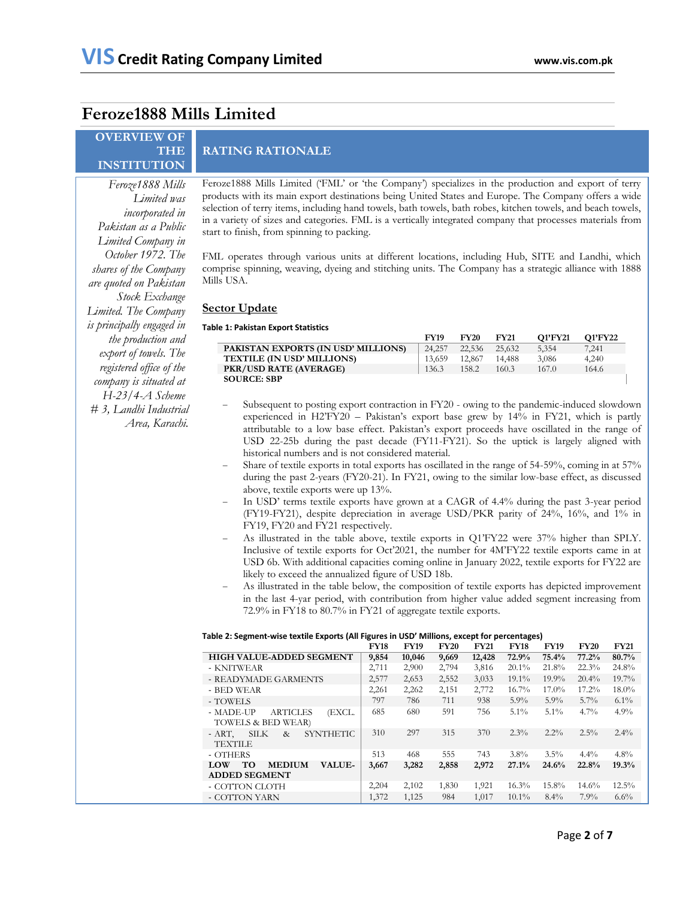# **Feroze1888 Mills Limited**

# **OVERVIEW OF THE INSTITUTION**

# **RATING RATIONALE**

*Feroze1888 Mills Limited was incorporated in Pakistan as a Public Limited Company in October 1972. The shares of the Company are quoted on Pakistan Stock Exchange Limited. The Company is principally engaged in the production and export of towels. The registered office of the company is situated at H-23/4-A Scheme # 3, Landhi Industrial Area, Karachi.*

Feroze1888 Mills Limited ('FML' or 'the Company') specializes in the production and export of terry products with its main export destinations being United States and Europe. The Company offers a wide selection of terry items, including hand towels, bath towels, bath robes, kitchen towels, and beach towels, in a variety of sizes and categories. FML is a vertically integrated company that processes materials from start to finish, from spinning to packing.

FML operates through various units at different locations, including Hub, SITE and Landhi, which comprise spinning, weaving, dyeing and stitching units. The Company has a strategic alliance with 1888 Mills USA.

## **Sector Update**

#### **Table 1: Pakistan Export Statistics**

|                                     | <b>FY19</b> | <b>FY20</b> | <b>FY21</b> | <b>O1'FY21</b> | O1'FY22 |
|-------------------------------------|-------------|-------------|-------------|----------------|---------|
| PAKISTAN EXPORTS (IN USD' MILLIONS) | 24,257      | 22.536      | 25.632      | 5.354          | 7,241   |
| TEXTILE (IN USD' MILLIONS)          | 13.659      | 12.867      | 14.488      | 3.086          | 4,240   |
| <b>PKR/USD RATE (AVERAGE)</b>       | 136.3       | 158.2       | 160.3       | 167.0          | 164.6   |
| <b>SOURCE: SBP</b>                  |             |             |             |                |         |
|                                     |             |             |             |                |         |

- Subsequent to posting export contraction in FY20 owing to the pandemic-induced slowdown experienced in H2'FY20 – Pakistan's export base grew by 14% in FY21, which is partly attributable to a low base effect. Pakistan's export proceeds have oscillated in the range of USD 22-25b during the past decade (FY11-FY21). So the uptick is largely aligned with historical numbers and is not considered material.
- Share of textile exports in total exports has oscillated in the range of 54-59%, coming in at 57% during the past 2-years (FY20-21). In FY21, owing to the similar low-base effect, as discussed above, textile exports were up 13%.
- In USD' terms textile exports have grown at a CAGR of 4.4% during the past 3-year period (FY19-FY21), despite depreciation in average USD/PKR parity of 24%, 16%, and 1% in FY19, FY20 and FY21 respectively.
- As illustrated in the table above, textile exports in Q1'FY22 were 37% higher than SPLY. Inclusive of textile exports for Oct'2021, the number for 4M'FY22 textile exports came in at USD 6b. With additional capacities coming online in January 2022, textile exports for FY22 are likely to exceed the annualized figure of USD 18b.
- As illustrated in the table below, the composition of textile exports has depicted improvement in the last 4-yar period, with contribution from higher value added segment increasing from 72.9% in FY18 to 80.7% in FY21 of aggregate textile exports.

|                                                                     | <b>FY18</b> | <b>FY19</b> | <b>FY20</b> | <b>FY21</b> | <b>FY18</b> | <b>FY19</b> | <b>FY20</b> | <b>FY21</b> |
|---------------------------------------------------------------------|-------------|-------------|-------------|-------------|-------------|-------------|-------------|-------------|
| <b>HIGH VALUE-ADDED SEGMENT</b>                                     | 9,854       | 10,046      | 9,669       | 12,428      | 72.9%       | 75.4%       | 77.2%       | 80.7%       |
| - KNITWEAR                                                          | 2,711       | 2,900       | 2,794       | 3,816       | $20.1\%$    | 21.8%       | 22.3%       | 24.8%       |
| - READYMADE GARMENTS                                                | 2,577       | 2,653       | 2,552       | 3,033       | $19.1\%$    | $19.9\%$    | 20.4%       | $19.7\%$    |
| - BED WEAR                                                          | 2,261       | 2,262       | 2,151       | 2,772       | $16.7\%$    | $17.0\%$    | 17.2%       | $18.0\%$    |
| - TOWELS                                                            | 797         | 786         | 711         | 938         | $5.9\%$     | $5.9\%$     | $5.7\%$     | $6.1\%$     |
| <b>ARTICLES</b><br>- MADE-UP<br>(EXCL.<br>TOWELS & BED WEAR)        | 685         | 680         | 591         | 756         | $5.1\%$     | $5.1\%$     | $4.7\%$     | 4.9%        |
| <b>SILK</b><br><b>SYNTHETIC</b><br>- ART.<br>$\&$<br><b>TEXTILE</b> | 310         | 297         | 315         | 370         | $2.3\%$     | $2.2\%$     | $2.5\%$     | $2.4\%$     |
| - OTHERS                                                            | 513         | 468         | 555         | 743         | $3.8\%$     | $3.5\%$     | $4.4\%$     | $4.8\%$     |
| <b>TO</b><br><b>MEDIUM</b><br><b>VALUE-</b><br><b>LOW</b>           | 3,667       | 3,282       | 2,858       | 2,972       | 27.1%       | 24.6%       | 22.8%       | 19.3%       |
| <b>ADDED SEGMENT</b>                                                |             |             |             |             |             |             |             |             |
| - COTTON CLOTH                                                      | 2,204       | 2,102       | 1,830       | 1,921       | 16.3%       | 15.8%       | 14.6%       | $12.5\%$    |
| - COTTON YARN                                                       | 1,372       | 1,125       | 984         | 1.017       | $10.1\%$    | $8.4\%$     | $7.9\%$     | 6.6%        |

#### **Table 2: Segment-wise textile Exports (All Figures in USD' Millions, except for percentages)**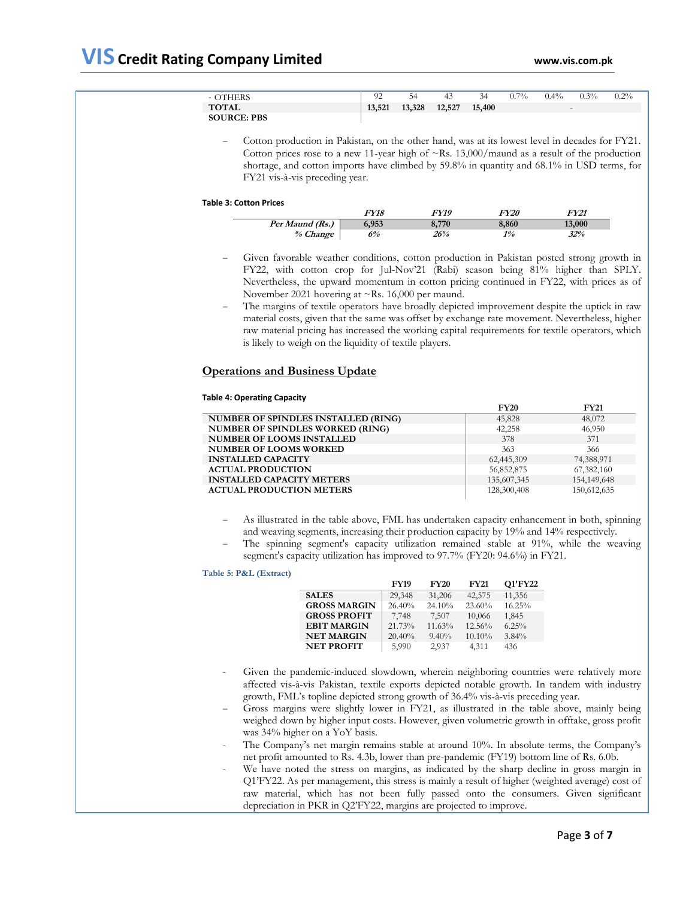| <b>OTHERS</b>      | 92     |        | 43     | 34     | $0.7\%$ | $0.4\%$ | $0.3\%$                  | $0.2\%$ |
|--------------------|--------|--------|--------|--------|---------|---------|--------------------------|---------|
| <b>TOTAL</b>       | 13,521 | 13,328 | 12,527 | 15,400 |         |         | $\overline{\phantom{0}}$ |         |
| <b>SOURCE: PBS</b> |        |        |        |        |         |         |                          |         |

 Cotton production in Pakistan, on the other hand, was at its lowest level in decades for FY21. Cotton prices rose to a new 11-year high of  $\sim$ Rs. 13,000/maund as a result of the production shortage, and cotton imports have climbed by 59.8% in quantity and 68.1% in USD terms, for FY21 vis-à-vis preceding year.

#### **Table 3: Cotton Prices**

|                 | <i>FY18</i> | FY19  | <i>FY20</i> | FY21   |
|-----------------|-------------|-------|-------------|--------|
| Per Maund (Rs.) | 6,953       | 8,770 | 8,860       | 13,000 |
| % Change        | 6%          | 26%   | 1%          | 32%    |

- Given favorable weather conditions, cotton production in Pakistan posted strong growth in FY22, with cotton crop for Jul-Nov'21 (Rabi) season being 81% higher than SPLY. Nevertheless, the upward momentum in cotton pricing continued in FY22, with prices as of November 2021 hovering at ~Rs. 16,000 per maund.
- The margins of textile operators have broadly depicted improvement despite the uptick in raw material costs, given that the same was offset by exchange rate movement. Nevertheless, higher raw material pricing has increased the working capital requirements for textile operators, which is likely to weigh on the liquidity of textile players.

## **Operations and Business Update**

#### **Table 4: Operating Capacity**

|                                            | <b>FY20</b> | <b>FY21</b> |
|--------------------------------------------|-------------|-------------|
| <b>NUMBER OF SPINDLES INSTALLED (RING)</b> | 45,828      | 48,072      |
| <b>NUMBER OF SPINDLES WORKED (RING)</b>    | 42,258      | 46,950      |
| <b>NUMBER OF LOOMS INSTALLED</b>           | 378         | 371         |
| <b>NUMBER OF LOOMS WORKED</b>              | 363         | 366         |
| <b>INSTALLED CAPACITY</b>                  | 62,445,309  | 74,388,971  |
| <b>ACTUAL PRODUCTION</b>                   | 56,852,875  | 67,382,160  |
| <b>INSTALLED CAPACITY METERS</b>           | 135,607,345 | 154,149,648 |
| <b>ACTUAL PRODUCTION METERS</b>            | 128,300,408 | 150,612,635 |

- As illustrated in the table above, FML has undertaken capacity enhancement in both, spinning and weaving segments, increasing their production capacity by 19% and 14% respectively.
- The spinning segment's capacity utilization remained stable at 91%, while the weaving segment's capacity utilization has improved to 97.7% (FY20: 94.6%) in FY21.

## **Table 5: P&L (Extract)**

| 29,348<br><b>SALES</b><br>42,575<br>31,206<br>11,356<br><b>GROSS MARGIN</b><br>26.40%<br>24.10%<br>23.60%<br>16.25%<br><b>GROSS PROFIT</b><br>7,748<br>10,066<br>7.507<br>1,845<br><b>EBIT MARGIN</b><br>21.73%<br>12.56%<br>6.25%<br>11.63%<br><b>NET MARGIN</b><br>20.40%<br>$9.40\%$<br>$3.84\%$<br>10.10%<br><b>NET PROFIT</b><br>5.990<br>2,937<br>4,311<br>436 | <b>FY19</b> | <b>FY20</b> | <b>FY21</b> | Q1'FY22 |
|----------------------------------------------------------------------------------------------------------------------------------------------------------------------------------------------------------------------------------------------------------------------------------------------------------------------------------------------------------------------|-------------|-------------|-------------|---------|
|                                                                                                                                                                                                                                                                                                                                                                      |             |             |             |         |
|                                                                                                                                                                                                                                                                                                                                                                      |             |             |             |         |
|                                                                                                                                                                                                                                                                                                                                                                      |             |             |             |         |
|                                                                                                                                                                                                                                                                                                                                                                      |             |             |             |         |
|                                                                                                                                                                                                                                                                                                                                                                      |             |             |             |         |
|                                                                                                                                                                                                                                                                                                                                                                      |             |             |             |         |

- Given the pandemic-induced slowdown, wherein neighboring countries were relatively more affected vis-à-vis Pakistan, textile exports depicted notable growth. In tandem with industry growth, FML's topline depicted strong growth of 36.4% vis-à-vis preceding year.
- Gross margins were slightly lower in FY21, as illustrated in the table above, mainly being weighed down by higher input costs. However, given volumetric growth in offtake, gross profit was 34% higher on a YoY basis.
- The Company's net margin remains stable at around 10%. In absolute terms, the Company's net profit amounted to Rs. 4.3b, lower than pre-pandemic (FY19) bottom line of Rs. 6.0b.
- We have noted the stress on margins, as indicated by the sharp decline in gross margin in Q1'FY22. As per management, this stress is mainly a result of higher (weighted average) cost of raw material, which has not been fully passed onto the consumers. Given significant depreciation in PKR in Q2'FY22, margins are projected to improve.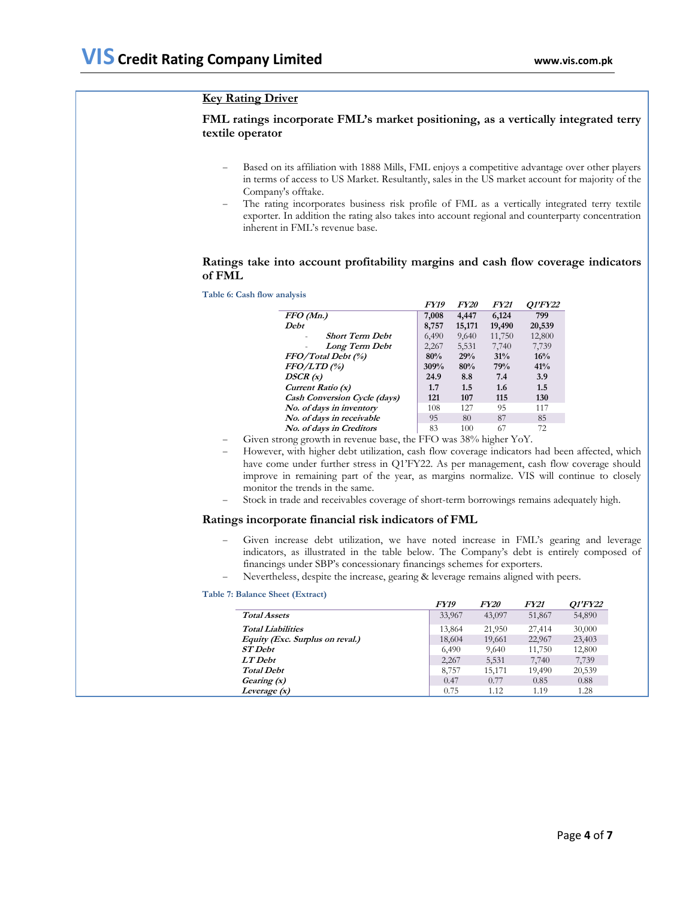## **Key Rating Driver**

## **FML ratings incorporate FML's market positioning, as a vertically integrated terry textile operator**

- Based on its affiliation with 1888 Mills, FML enjoys a competitive advantage over other players in terms of access to US Market. Resultantly, sales in the US market account for majority of the Company's offtake.
- The rating incorporates business risk profile of FML as a vertically integrated terry textile exporter. In addition the rating also takes into account regional and counterparty concentration inherent in FML's revenue base.

## **Ratings take into account profitability margins and cash flow coverage indicators of FML**

**Table 6: Cash flow analysis**

|                                     | <i>FY19</i> | <i>FY20</i>      | <b>FY21</b> | <i><b>O1'FY22</b></i> |
|-------------------------------------|-------------|------------------|-------------|-----------------------|
| FFO(Mn.)                            | 7,008       | 4,447            | 6,124       | 799                   |
| Debt                                | 8,757       | 15,171           | 19,490      | 20,539                |
| <b>Short Term Debt</b>              | 6,490       | 9,640            | 11,750      | 12,800                |
| Long Term Debt                      | 2,267       | 5,531            | 7,740       | 7,739                 |
| FFO/Total Debt (%)                  | 80%         | 29%              | 31%         | 16%                   |
| $FFO/LTD$ (%)                       | 309%        | 80%              | 79%         | 41%                   |
| DSCR(x)                             | 24.9        | 8.8              | 7.4         | 3.9                   |
| Current Ratio (x)                   | 1.7         | 1.5              | 1.6         | 1.5                   |
| <b>Cash Conversion Cycle (days)</b> | 121         | 107              | 115         | 130                   |
| No. of days in inventory            | 108         | 127              | 95          | 117                   |
| No. of days in receivable           | 95          | 80               | 87          | 85                    |
| No. of days in Creditors            | 83          | 100              | 67          | 72                    |
|                                     | $\cdots$    | <b>ACCIPTION</b> |             |                       |

Given strong growth in revenue base, the FFO was 38% higher YoY.

- However, with higher debt utilization, cash flow coverage indicators had been affected, which have come under further stress in Q1'FY22. As per management, cash flow coverage should improve in remaining part of the year, as margins normalize. VIS will continue to closely monitor the trends in the same.
- Stock in trade and receivables coverage of short-term borrowings remains adequately high.

#### **Ratings incorporate financial risk indicators of FML**

- Given increase debt utilization, we have noted increase in FML's gearing and leverage indicators, as illustrated in the table below. The Company's debt is entirely composed of financings under SBP's concessionary financings schemes for exporters.
- Nevertheless, despite the increase, gearing & leverage remains aligned with peers.

### **Table 7: Balance Sheet (Extract)**

|                                 | FY19   | <i>FY20</i> | <b>FY21</b> | <i>O1'FY22</i> |
|---------------------------------|--------|-------------|-------------|----------------|
| <b>Total Assets</b>             | 33,967 | 43,097      | 51,867      | 54,890         |
| <b>Total Liabilities</b>        | 13,864 | 21,950      | 27,414      | 30,000         |
| Equity (Exc. Surplus on reval.) | 18,604 | 19,661      | 22,967      | 23,403         |
| <b>ST</b> Debt                  | 6.490  | 9,640       | 11,750      | 12,800         |
| LT Debt                         | 2,267  | 5,531       | 7,740       | 7,739          |
| <b>Total Debt</b>               | 8,757  | 15,171      | 19,490      | 20,539         |
| Gearing (x)                     | 0.47   | 0.77        | 0.85        | 0.88           |
| Leverage $(x)$                  | 0.75   | 1.12        | 1.19        | 1.28           |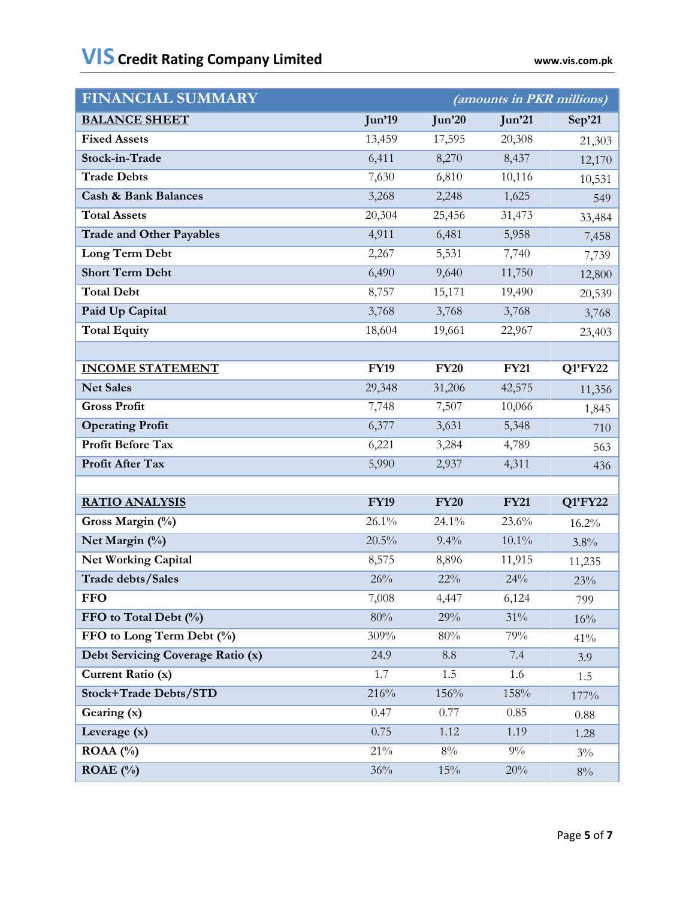| <b>FINANCIAL SUMMARY</b>          |             | (amounts in PKR millions) |             |         |  |  |
|-----------------------------------|-------------|---------------------------|-------------|---------|--|--|
| <b>BALANCE SHEET</b>              | Jun'19      | Jun'20                    | Jun'21      | Sep'21  |  |  |
| <b>Fixed Assets</b>               | 13,459      | 17,595                    | 20,308      | 21,303  |  |  |
| Stock-in-Trade                    | 6,411       | 8,270                     | 8,437       | 12,170  |  |  |
| <b>Trade Debts</b>                | 7,630       | 6,810                     | 10,116      | 10,531  |  |  |
| <b>Cash &amp; Bank Balances</b>   | 3,268       | 2,248                     | 1,625       | 549     |  |  |
| <b>Total Assets</b>               | 20,304      | 25,456                    | 31,473      | 33,484  |  |  |
| <b>Trade and Other Payables</b>   | 4,911       | 6,481                     | 5,958       | 7,458   |  |  |
| Long Term Debt                    | 2,267       | 5,531                     | 7,740       | 7,739   |  |  |
| <b>Short Term Debt</b>            | 6,490       | 9,640                     | 11,750      | 12,800  |  |  |
| <b>Total Debt</b>                 | 8,757       | 15,171                    | 19,490      | 20,539  |  |  |
| Paid Up Capital                   | 3,768       | 3,768                     | 3,768       | 3,768   |  |  |
| <b>Total Equity</b>               | 18,604      | 19,661                    | 22,967      | 23,403  |  |  |
|                                   |             |                           |             |         |  |  |
| <b>INCOME STATEMENT</b>           | <b>FY19</b> | <b>FY20</b>               | <b>FY21</b> | Q1'FY22 |  |  |
| <b>Net Sales</b>                  | 29,348      | 31,206                    | 42,575      | 11,356  |  |  |
| <b>Gross Profit</b>               | 7,748       | 7,507                     | 10,066      | 1,845   |  |  |
| <b>Operating Profit</b>           | 6,377       | 3,631                     | 5,348       | 710     |  |  |
| Profit Before Tax                 | 6,221       | 3,284                     | 4,789       | 563     |  |  |
| Profit After Tax                  | 5,990       | 2,937                     | 4,311       | 436     |  |  |
|                                   |             |                           |             |         |  |  |
| <b>RATIO ANALYSIS</b>             | <b>FY19</b> | <b>FY20</b>               | <b>FY21</b> | Q1'FY22 |  |  |
| Gross Margin (%)                  | 26.1%       | 24.1%                     | 23.6%       | 16.2%   |  |  |
| Net Margin (%)                    | 20.5%       | 9.4%                      | $10.1\%$    | 3.8%    |  |  |
| <b>Net Working Capital</b>        | 8,575       | 8,896                     | 11,915      | 11,235  |  |  |
| Trade debts/Sales                 | 26%         | 22%                       | 24%         | 23%     |  |  |
| <b>FFO</b>                        | 7,008       | 4,447                     | 6,124       | 799     |  |  |
| FFO to Total Debt (%)             | $80\%$      | 29%                       | 31%         | 16%     |  |  |
| FFO to Long Term Debt (%)         | 309%        | 80%                       | 79%         | 41%     |  |  |
| Debt Servicing Coverage Ratio (x) | 24.9        | $\!\!\!\!\!8.8$           | 7.4         | 3.9     |  |  |
| Current Ratio (x)                 | 1.7         | 1.5                       | 1.6         | 1.5     |  |  |
| <b>Stock+Trade Debts/STD</b>      | 216%        | 156%                      | 158%        | 177%    |  |  |
| Gearing (x)                       | 0.47        | 0.77                      | 0.85        | 0.88    |  |  |
| Leverage (x)                      | 0.75        | 1.12                      | 1.19        | 1.28    |  |  |
| ROAA $($ %)                       | $21\%$      | $8\%$                     | $9\%$       | $3\%$   |  |  |
| ROAE $(\% )$                      | 36%         | 15%                       | 20%         | $8\%$   |  |  |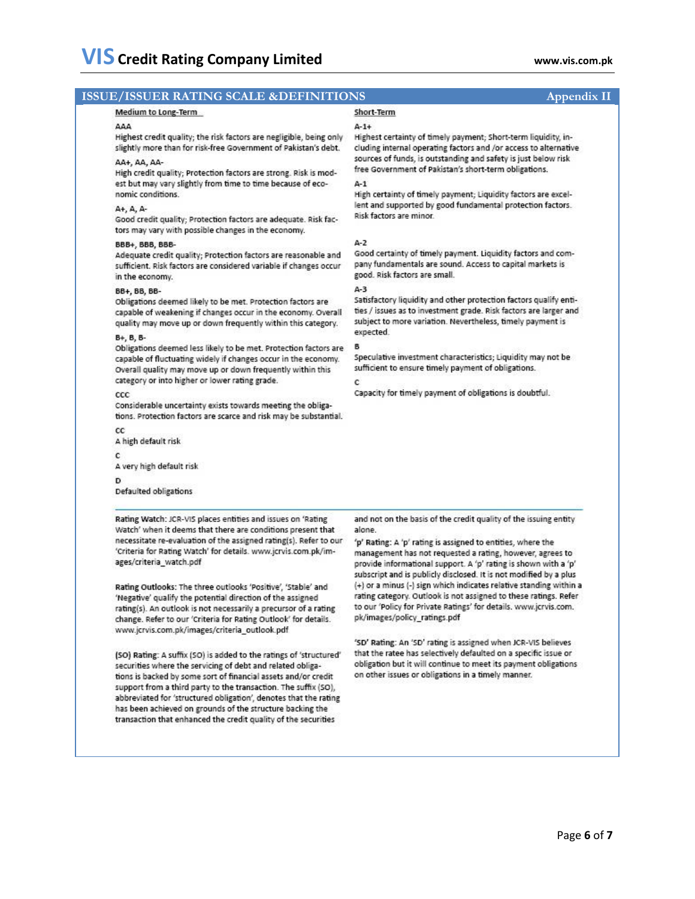#### **ISSUE/ISSUER RATING SCALE &DEFINITIONS** Appendix II Short-Term Medium to Long-Term **AAA**  $A-1+$ Highest credit quality; the risk factors are negligible, being only Highest certainty of timely payment; Short-term liquidity, inslightly more than for risk-free Government of Pakistan's debt. cluding internal operating factors and /or access to alternative sources of funds, is outstanding and safety is just below risk AA+, AA, AAfree Government of Pakistan's short-term obligations. High credit quality; Protection factors are strong. Risk is modest but may vary slightly from time to time because of eco- $\Delta - 1$ nomic conditions. High certainty of timely payment; Liquidity factors are excellent and supported by good fundamental protection factors. A+, A, A-Risk factors are minor. Good credit quality; Protection factors are adequate. Risk factors may vary with possible changes in the economy.  $A-2$ BBB+, BBB, BBB-Adequate credit quality; Protection factors are reasonable and Good certainty of timely payment. Liquidity factors and company fundamentals are sound. Access to capital markets is sufficient. Risk factors are considered variable if changes occur good. Risk factors are small. in the economy.  $A-3$ BB+, BB, BB-Satisfactory liquidity and other protection factors qualify enti-Obligations deemed likely to be met. Protection factors are ties / issues as to investment grade. Risk factors are larger and capable of weakening if changes occur in the economy. Overall subject to more variation. Nevertheless, timely payment is quality may move up or down frequently within this category. expected. B+, B, B-Obligations deemed less likely to be met. Protection factors are В Speculative investment characteristics; Liquidity may not be capable of fluctuating widely if changes occur in the economy. Overall quality may move up or down frequently within this sufficient to ensure timely payment of obligations. category or into higher or lower rating grade. ċ Capacity for timely payment of obligations is doubtful.  $_{\rm ccc}$ Considerable uncertainty exists towards meeting the obligations. Protection factors are scarce and risk may be substantial. cc A high default risk c A very high default risk D. Defaulted obligations Rating Watch: JCR-VIS places entities and issues on 'Rating and not on the basis of the credit quality of the issuing entity Watch' when it deems that there are conditions present that alone. necessitate re-evaluation of the assigned rating(s). Refer to our 'p' Rating: A 'p' rating is assigned to entities, where the 'Criteria for Rating Watch' for details. www.jcrvis.com.pk/immanagement has not requested a rating, however, agrees to ages/criteria\_watch.pdf provide informational support. A 'p' rating is shown with a 'p' subscript and is publicly disclosed. It is not modified by a plus (+) or a minus (-) sign which indicates relative standing within a Rating Outlooks: The three outlooks 'Positive', 'Stable' and rating category. Outlook is not assigned to these ratings. Refer

'Negative' qualify the potential direction of the assigned rating(s). An outlook is not necessarily a precursor of a rating change. Refer to our 'Criteria for Rating Outlook' for details. www.jcrvis.com.pk/images/criteria\_outlook.pdf

(SO) Rating: A suffix (SO) is added to the ratings of 'structured' securities where the servicing of debt and related obligations is backed by some sort of financial assets and/or credit support from a third party to the transaction. The suffix (SO), abbreviated for 'structured obligation', denotes that the rating has been achieved on grounds of the structure backing the transaction that enhanced the credit quality of the securities

to our 'Policy for Private Ratings' for details. www.jcrvis.com. pk/images/policy\_ratings.pdf 'SD' Rating: An 'SD' rating is assigned when JCR-VIS believes

that the ratee has selectively defaulted on a specific issue or obligation but it will continue to meet its payment obligations on other issues or obligations in a timely manner.